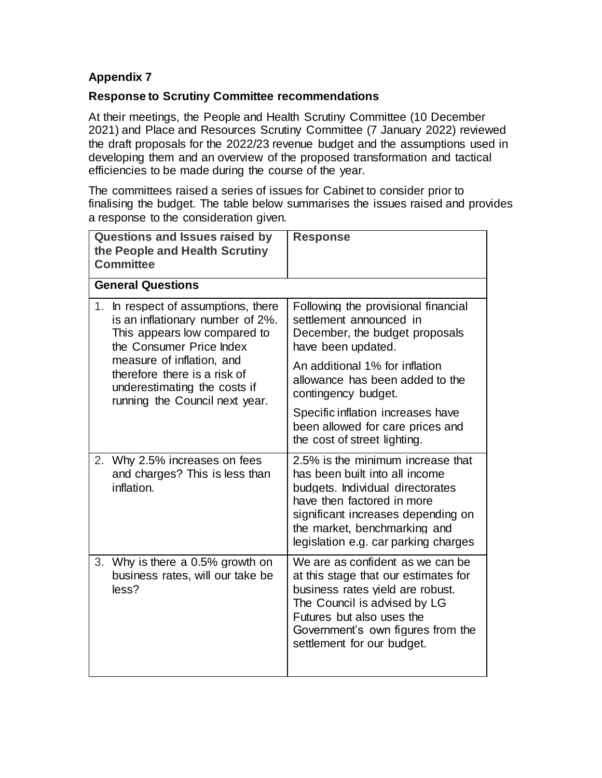## **Appendix 7**

## **Response to Scrutiny Committee recommendations**

At their meetings, the People and Health Scrutiny Committee (10 December 2021) and Place and Resources Scrutiny Committee (7 January 2022) reviewed the draft proposals for the 2022/23 revenue budget and the assumptions used in developing them and an overview of the proposed transformation and tactical efficiencies to be made during the course of the year.

The committees raised a series of issues for Cabinet to consider prior to finalising the budget. The table below summarises the issues raised and provides a response to the consideration given.

| <b>Questions and Issues raised by</b><br>the People and Health Scrutiny<br><b>Committee</b>                                            | <b>Response</b>                                                                                                                                                                                                                                     |
|----------------------------------------------------------------------------------------------------------------------------------------|-----------------------------------------------------------------------------------------------------------------------------------------------------------------------------------------------------------------------------------------------------|
| <b>General Questions</b>                                                                                                               |                                                                                                                                                                                                                                                     |
| 1.<br>In respect of assumptions, there<br>is an inflationary number of 2%.<br>This appears low compared to<br>the Consumer Price Index | Following the provisional financial<br>settlement announced in<br>December, the budget proposals<br>have been updated.                                                                                                                              |
| measure of inflation, and<br>therefore there is a risk of<br>underestimating the costs if<br>running the Council next year.            | An additional 1% for inflation<br>allowance has been added to the<br>contingency budget.                                                                                                                                                            |
|                                                                                                                                        | Specific inflation increases have<br>been allowed for care prices and<br>the cost of street lighting.                                                                                                                                               |
| Why 2.5% increases on fees<br>2.<br>and charges? This is less than<br>inflation.                                                       | 2.5% is the minimum increase that<br>has been built into all income<br>budgets. Individual directorates<br>have then factored in more<br>significant increases depending on<br>the market, benchmarking and<br>legislation e.g. car parking charges |
| Why is there a 0.5% growth on<br>3.<br>business rates, will our take be<br>less?                                                       | We are as confident as we can be<br>at this stage that our estimates for<br>business rates yield are robust.<br>The Council is advised by LG<br>Futures but also uses the<br>Government's own figures from the<br>settlement for our budget.        |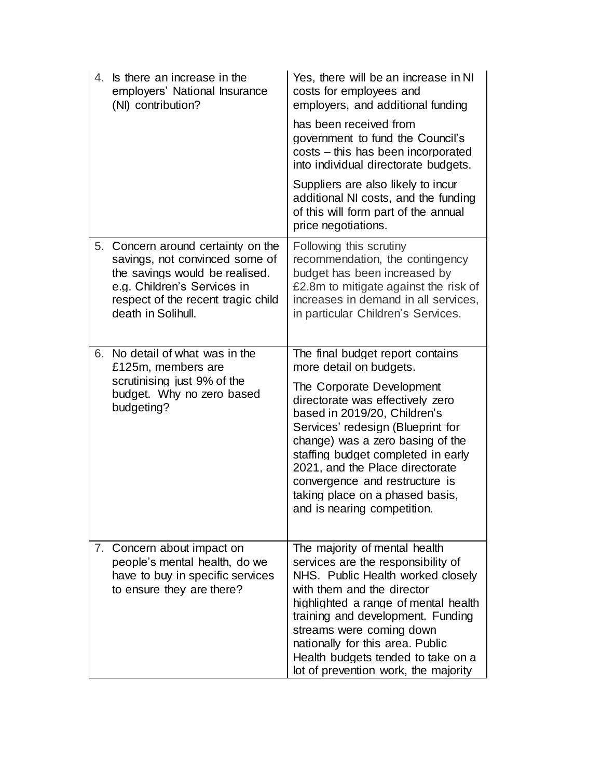| 4. | Is there an increase in the<br>employers' National Insurance<br>(NI) contribution?                                                                                                             | Yes, there will be an increase in NI<br>costs for employees and<br>employers, and additional funding<br>has been received from<br>government to fund the Council's<br>costs - this has been incorporated<br>into individual directorate budgets.                                                                                                                                                                   |
|----|------------------------------------------------------------------------------------------------------------------------------------------------------------------------------------------------|--------------------------------------------------------------------------------------------------------------------------------------------------------------------------------------------------------------------------------------------------------------------------------------------------------------------------------------------------------------------------------------------------------------------|
|    |                                                                                                                                                                                                | Suppliers are also likely to incur<br>additional NI costs, and the funding<br>of this will form part of the annual<br>price negotiations.                                                                                                                                                                                                                                                                          |
| 5. | Concern around certainty on the<br>savings, not convinced some of<br>the savings would be realised.<br>e.g. Children's Services in<br>respect of the recent tragic child<br>death in Solihull. | Following this scrutiny<br>recommendation, the contingency<br>budget has been increased by<br>£2.8m to mitigate against the risk of<br>increases in demand in all services,<br>in particular Children's Services.                                                                                                                                                                                                  |
| 6. | No detail of what was in the<br>£125m, members are<br>scrutinising just 9% of the<br>budget. Why no zero based<br>budgeting?                                                                   | The final budget report contains<br>more detail on budgets.<br>The Corporate Development<br>directorate was effectively zero<br>based in 2019/20, Children's<br>Services' redesign (Blueprint for<br>change) was a zero basing of the<br>staffing budget completed in early<br>2021, and the Place directorate<br>convergence and restructure is<br>taking place on a phased basis,<br>and is nearing competition. |
|    | 7. Concern about impact on<br>people's mental health, do we<br>have to buy in specific services<br>to ensure they are there?                                                                   | The majority of mental health<br>services are the responsibility of<br>NHS. Public Health worked closely<br>with them and the director<br>highlighted a range of mental health<br>training and development. Funding<br>streams were coming down<br>nationally for this area. Public<br>Health budgets tended to take on a<br>lot of prevention work, the majority                                                  |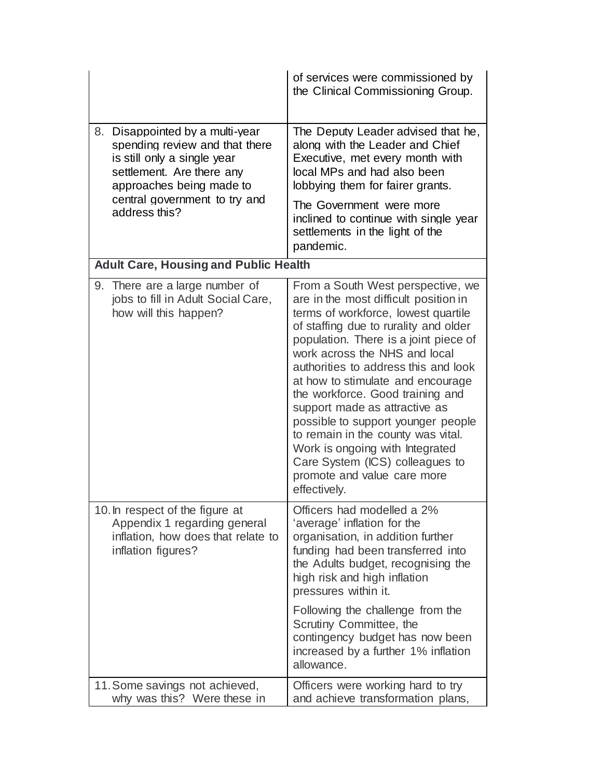|                                                                                                                                                              | of services were commissioned by<br>the Clinical Commissioning Group.                                                                                                                                                                                                                                                                                                                                                                                                                                                                                                                   |
|--------------------------------------------------------------------------------------------------------------------------------------------------------------|-----------------------------------------------------------------------------------------------------------------------------------------------------------------------------------------------------------------------------------------------------------------------------------------------------------------------------------------------------------------------------------------------------------------------------------------------------------------------------------------------------------------------------------------------------------------------------------------|
| Disappointed by a multi-year<br>8.<br>spending review and that there<br>is still only a single year<br>settlement. Are there any<br>approaches being made to | The Deputy Leader advised that he,<br>along with the Leader and Chief<br>Executive, met every month with<br>local MPs and had also been<br>lobbying them for fairer grants.                                                                                                                                                                                                                                                                                                                                                                                                             |
| central government to try and<br>address this?                                                                                                               | The Government were more<br>inclined to continue with single year<br>settlements in the light of the<br>pandemic.                                                                                                                                                                                                                                                                                                                                                                                                                                                                       |
| <b>Adult Care, Housing and Public Health</b>                                                                                                                 |                                                                                                                                                                                                                                                                                                                                                                                                                                                                                                                                                                                         |
| 9. There are a large number of<br>jobs to fill in Adult Social Care,<br>how will this happen?                                                                | From a South West perspective, we<br>are in the most difficult position in<br>terms of workforce, lowest quartile<br>of staffing due to rurality and older<br>population. There is a joint piece of<br>work across the NHS and local<br>authorities to address this and look<br>at how to stimulate and encourage<br>the workforce. Good training and<br>support made as attractive as<br>possible to support younger people<br>to remain in the county was vital.<br>Work is ongoing with Integrated<br>Care System (ICS) colleagues to<br>promote and value care more<br>effectively. |
| 10. In respect of the figure at<br>Appendix 1 regarding general<br>inflation, how does that relate to<br>inflation figures?                                  | Officers had modelled a 2%<br>'average' inflation for the<br>organisation, in addition further<br>funding had been transferred into<br>the Adults budget, recognising the<br>high risk and high inflation<br>pressures within it.<br>Following the challenge from the<br>Scrutiny Committee, the<br>contingency budget has now been<br>increased by a further 1% inflation<br>allowance.                                                                                                                                                                                                |
| 11. Some savings not achieved,<br>why was this? Were these in                                                                                                | Officers were working hard to try<br>and achieve transformation plans,                                                                                                                                                                                                                                                                                                                                                                                                                                                                                                                  |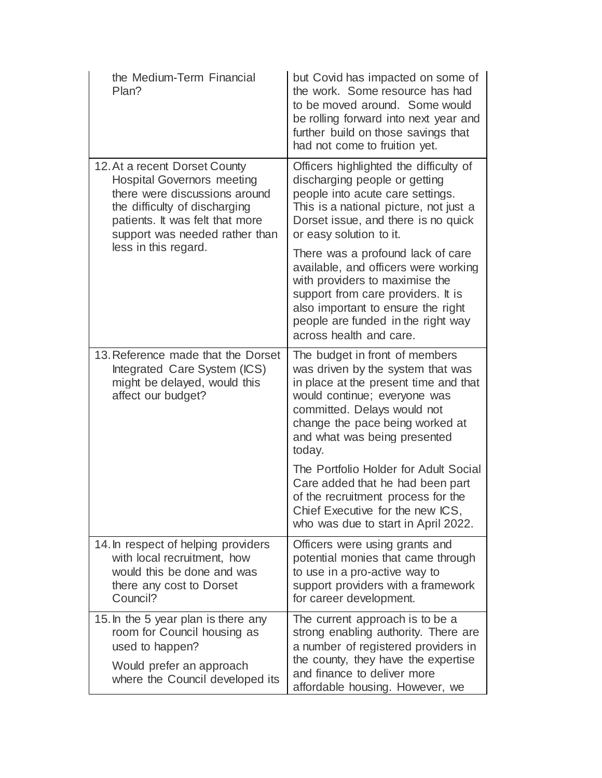| the Medium-Term Financial<br>Plan?                                                                                                                                                                        | but Covid has impacted on some of<br>the work. Some resource has had<br>to be moved around. Some would<br>be rolling forward into next year and<br>further build on those savings that<br>had not come to fruition yet.                                  |
|-----------------------------------------------------------------------------------------------------------------------------------------------------------------------------------------------------------|----------------------------------------------------------------------------------------------------------------------------------------------------------------------------------------------------------------------------------------------------------|
| 12. At a recent Dorset County<br><b>Hospital Governors meeting</b><br>there were discussions around<br>the difficulty of discharging<br>patients. It was felt that more<br>support was needed rather than | Officers highlighted the difficulty of<br>discharging people or getting<br>people into acute care settings.<br>This is a national picture, not just a<br>Dorset issue, and there is no quick<br>or easy solution to it.                                  |
| less in this regard.                                                                                                                                                                                      | There was a profound lack of care<br>available, and officers were working<br>with providers to maximise the<br>support from care providers. It is<br>also important to ensure the right<br>people are funded in the right way<br>across health and care. |
| 13. Reference made that the Dorset<br>Integrated Care System (ICS)<br>might be delayed, would this<br>affect our budget?                                                                                  | The budget in front of members<br>was driven by the system that was<br>in place at the present time and that<br>would continue; everyone was<br>committed. Delays would not<br>change the pace being worked at<br>and what was being presented<br>today. |
|                                                                                                                                                                                                           | The Portfolio Holder for Adult Social<br>Care added that he had been part<br>of the recruitment process for the<br>Chief Executive for the new ICS,<br>who was due to start in April 2022.                                                               |
| 14. In respect of helping providers<br>with local recruitment, how<br>would this be done and was<br>there any cost to Dorset<br>Council?                                                                  | Officers were using grants and<br>potential monies that came through<br>to use in a pro-active way to<br>support providers with a framework<br>for career development.                                                                                   |
| 15. In the 5 year plan is there any<br>room for Council housing as<br>used to happen?<br>Would prefer an approach<br>where the Council developed its                                                      | The current approach is to be a<br>strong enabling authority. There are<br>a number of registered providers in<br>the county, they have the expertise<br>and finance to deliver more<br>affordable housing. However, we                                  |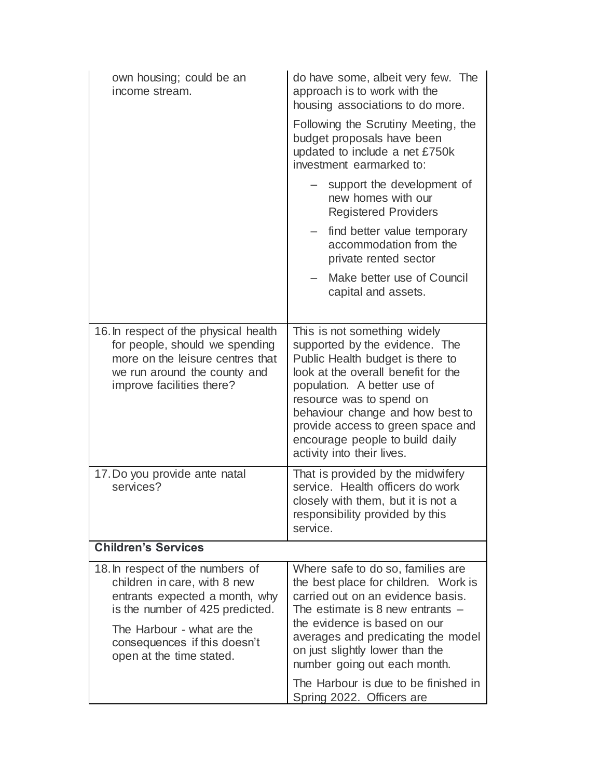| own housing; could be an<br>income stream.                                                                                                                                                                                      | do have some, albeit very few. The<br>approach is to work with the<br>housing associations to do more.                                                                                                                                                                                                                                         |
|---------------------------------------------------------------------------------------------------------------------------------------------------------------------------------------------------------------------------------|------------------------------------------------------------------------------------------------------------------------------------------------------------------------------------------------------------------------------------------------------------------------------------------------------------------------------------------------|
|                                                                                                                                                                                                                                 | Following the Scrutiny Meeting, the<br>budget proposals have been<br>updated to include a net £750k<br>investment earmarked to:                                                                                                                                                                                                                |
|                                                                                                                                                                                                                                 | support the development of<br>new homes with our<br><b>Registered Providers</b>                                                                                                                                                                                                                                                                |
|                                                                                                                                                                                                                                 | find better value temporary<br>accommodation from the<br>private rented sector                                                                                                                                                                                                                                                                 |
|                                                                                                                                                                                                                                 | Make better use of Council<br>capital and assets.                                                                                                                                                                                                                                                                                              |
| 16. In respect of the physical health<br>for people, should we spending<br>more on the leisure centres that<br>we run around the county and<br>improve facilities there?                                                        | This is not something widely<br>supported by the evidence. The<br>Public Health budget is there to<br>look at the overall benefit for the<br>population. A better use of<br>resource was to spend on<br>behaviour change and how best to<br>provide access to green space and<br>encourage people to build daily<br>activity into their lives. |
| 17. Do you provide ante natal<br>services?                                                                                                                                                                                      | That is provided by the midwifery<br>service. Health officers do work<br>closely with them, but it is not a<br>responsibility provided by this<br>service.                                                                                                                                                                                     |
| <b>Children's Services</b>                                                                                                                                                                                                      |                                                                                                                                                                                                                                                                                                                                                |
| 18. In respect of the numbers of<br>children in care, with 8 new<br>entrants expected a month, why<br>is the number of 425 predicted.<br>The Harbour - what are the<br>consequences if this doesn't<br>open at the time stated. | Where safe to do so, families are<br>the best place for children. Work is<br>carried out on an evidence basis.<br>The estimate is 8 new entrants $-$<br>the evidence is based on our<br>averages and predicating the model<br>on just slightly lower than the<br>number going out each month.                                                  |
|                                                                                                                                                                                                                                 | The Harbour is due to be finished in<br>Spring 2022. Officers are                                                                                                                                                                                                                                                                              |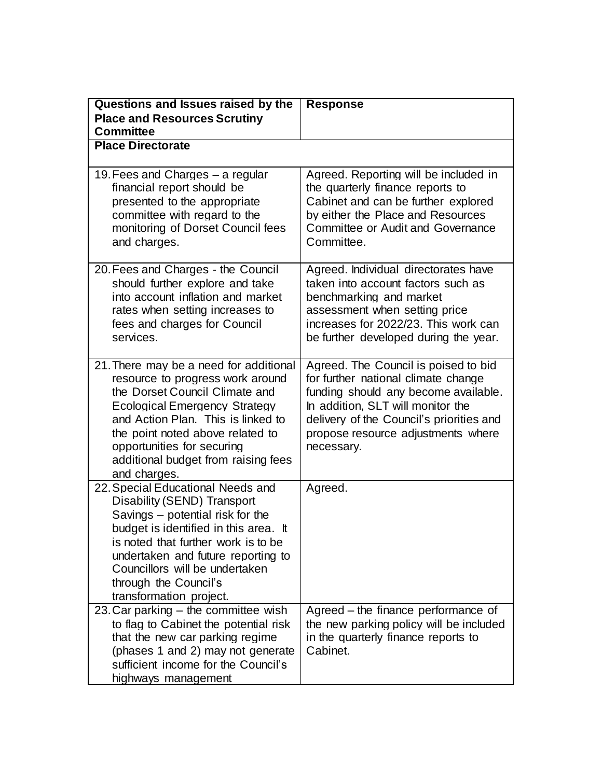| Questions and Issues raised by the<br><b>Place and Resources Scrutiny</b>                                                                                                                                                                                                                                           | <b>Response</b>                                                                                                                                                                                                                                          |  |
|---------------------------------------------------------------------------------------------------------------------------------------------------------------------------------------------------------------------------------------------------------------------------------------------------------------------|----------------------------------------------------------------------------------------------------------------------------------------------------------------------------------------------------------------------------------------------------------|--|
| <b>Committee</b>                                                                                                                                                                                                                                                                                                    |                                                                                                                                                                                                                                                          |  |
| <b>Place Directorate</b>                                                                                                                                                                                                                                                                                            |                                                                                                                                                                                                                                                          |  |
| 19. Fees and Charges – a regular<br>financial report should be<br>presented to the appropriate<br>committee with regard to the<br>monitoring of Dorset Council fees<br>and charges.                                                                                                                                 | Agreed. Reporting will be included in<br>the quarterly finance reports to<br>Cabinet and can be further explored<br>by either the Place and Resources<br><b>Committee or Audit and Governance</b><br>Committee.                                          |  |
| 20. Fees and Charges - the Council<br>should further explore and take<br>into account inflation and market<br>rates when setting increases to<br>fees and charges for Council<br>services.                                                                                                                          | Agreed. Individual directorates have<br>taken into account factors such as<br>benchmarking and market<br>assessment when setting price<br>increases for 2022/23. This work can<br>be further developed during the year.                                  |  |
| 21. There may be a need for additional<br>resource to progress work around<br>the Dorset Council Climate and<br><b>Ecological Emergency Strategy</b><br>and Action Plan. This is linked to<br>the point noted above related to<br>opportunities for securing<br>additional budget from raising fees<br>and charges. | Agreed. The Council is poised to bid<br>for further national climate change<br>funding should any become available.<br>In addition, SLT will monitor the<br>delivery of the Council's priorities and<br>propose resource adjustments where<br>necessary. |  |
| 22. Special Educational Needs and<br>Disability (SEND) Transport<br>Savings – potential risk for the<br>budget is identified in this area. It<br>is noted that further work is to be<br>undertaken and future reporting to<br>Councillors will be undertaken<br>through the Council's<br>transformation project.    | Agreed.                                                                                                                                                                                                                                                  |  |
| 23. Car parking – the committee wish<br>to flag to Cabinet the potential risk<br>that the new car parking regime<br>(phases 1 and 2) may not generate<br>sufficient income for the Council's<br>highways management                                                                                                 | Agreed – the finance performance of<br>the new parking policy will be included<br>in the quarterly finance reports to<br>Cabinet.                                                                                                                        |  |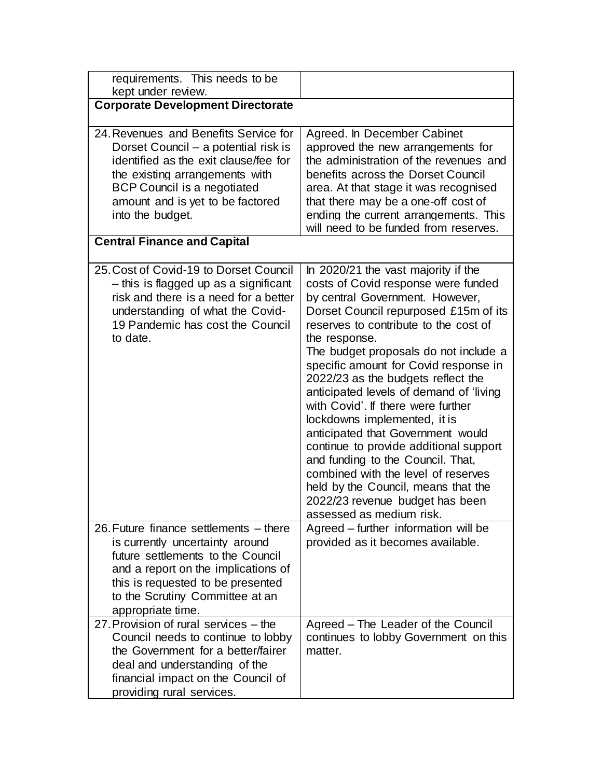| requirements. This needs to be<br>kept under review.                                                                                                                                                                                               |                                                                                                                                                                                                                                                                                                                                                                                                                                                                                                                                                                                                                                                                                                                            |
|----------------------------------------------------------------------------------------------------------------------------------------------------------------------------------------------------------------------------------------------------|----------------------------------------------------------------------------------------------------------------------------------------------------------------------------------------------------------------------------------------------------------------------------------------------------------------------------------------------------------------------------------------------------------------------------------------------------------------------------------------------------------------------------------------------------------------------------------------------------------------------------------------------------------------------------------------------------------------------------|
| <b>Corporate Development Directorate</b>                                                                                                                                                                                                           |                                                                                                                                                                                                                                                                                                                                                                                                                                                                                                                                                                                                                                                                                                                            |
| 24. Revenues and Benefits Service for<br>Dorset Council – a potential risk is<br>identified as the exit clause/fee for<br>the existing arrangements with<br>BCP Council is a negotiated<br>amount and is yet to be factored<br>into the budget.    | Agreed. In December Cabinet<br>approved the new arrangements for<br>the administration of the revenues and<br>benefits across the Dorset Council<br>area. At that stage it was recognised<br>that there may be a one-off cost of<br>ending the current arrangements. This<br>will need to be funded from reserves.                                                                                                                                                                                                                                                                                                                                                                                                         |
| <b>Central Finance and Capital</b>                                                                                                                                                                                                                 |                                                                                                                                                                                                                                                                                                                                                                                                                                                                                                                                                                                                                                                                                                                            |
| 25. Cost of Covid-19 to Dorset Council<br>- this is flagged up as a significant<br>risk and there is a need for a better<br>understanding of what the Covid-<br>19 Pandemic has cost the Council<br>to date.                                       | In 2020/21 the vast majority if the<br>costs of Covid response were funded<br>by central Government. However,<br>Dorset Council repurposed £15m of its<br>reserves to contribute to the cost of<br>the response.<br>The budget proposals do not include a<br>specific amount for Covid response in<br>2022/23 as the budgets reflect the<br>anticipated levels of demand of 'living<br>with Covid'. If there were further<br>lockdowns implemented, it is<br>anticipated that Government would<br>continue to provide additional support<br>and funding to the Council. That,<br>combined with the level of reserves<br>held by the Council, means that the<br>2022/23 revenue budget has been<br>assessed as medium risk. |
| 26. Future finance settlements – there<br>is currently uncertainty around<br>future settlements to the Council<br>and a report on the implications of<br>this is requested to be presented<br>to the Scrutiny Committee at an<br>appropriate time. | Agreed – further information will be<br>provided as it becomes available.                                                                                                                                                                                                                                                                                                                                                                                                                                                                                                                                                                                                                                                  |
| 27. Provision of rural services – the<br>Council needs to continue to lobby<br>the Government for a better/fairer<br>deal and understanding of the<br>financial impact on the Council of<br>providing rural services.                              | Agreed - The Leader of the Council<br>continues to lobby Government on this<br>matter.                                                                                                                                                                                                                                                                                                                                                                                                                                                                                                                                                                                                                                     |